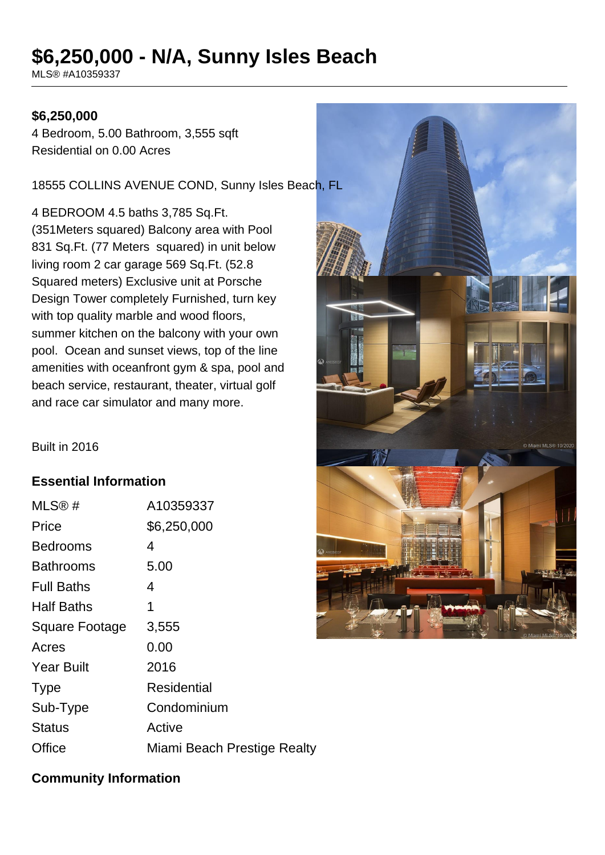# **\$6,250,000 - N/A, Sunny Isles Beach**

MLS® #A10359337

#### **\$6,250,000**

4 Bedroom, 5.00 Bathroom, 3,555 sqft Residential on 0.00 Acres

18555 COLLINS AVENUE COND, Sunny Isles Beach, FL

4 BEDROOM 4.5 baths 3,785 Sq.Ft. (351Meters squared) Balcony area with Pool 831 Sq.Ft. (77 Meters squared) in unit below living room 2 car garage 569 Sq.Ft. (52.8 Squared meters) Exclusive unit at Porsche Design Tower completely Furnished, turn key with top quality marble and wood floors, summer kitchen on the balcony with your own pool. Ocean and sunset views, top of the line amenities with oceanfront gym & spa, pool and beach service, restaurant, theater, virtual golf and race car simulator and many more.

#### Built in 2016

#### **Essential Information**

| MLS@#                 | A10359337                   |
|-----------------------|-----------------------------|
| Price                 | \$6,250,000                 |
| <b>Bedrooms</b>       | 4                           |
| Bathrooms             | 5.00                        |
| <b>Full Baths</b>     | 4                           |
| <b>Half Baths</b>     | 1                           |
| <b>Square Footage</b> | 3,555                       |
| Acres                 | 0.00                        |
| <b>Year Built</b>     | 2016                        |
| <b>Type</b>           | Residential                 |
| Sub-Type              | Condominium                 |
| <b>Status</b>         | Active                      |
| Office                | Miami Beach Prestige Realty |



## **Community Information**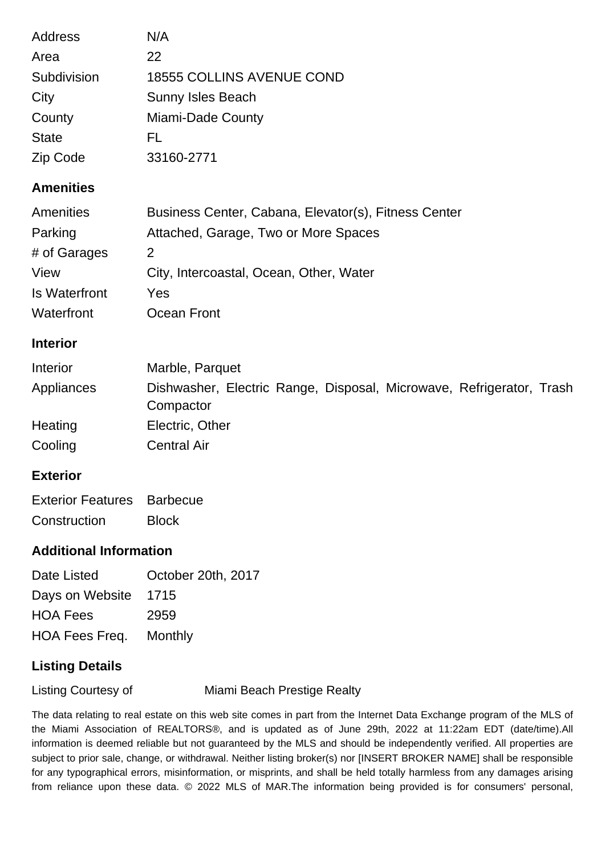| <b>Address</b>       | N/A                                                  |
|----------------------|------------------------------------------------------|
| Area                 | 22                                                   |
| Subdivision          | <b>18555 COLLINS AVENUE COND</b>                     |
| City                 | Sunny Isles Beach                                    |
| County               | Miami-Dade County                                    |
| <b>State</b>         | FL                                                   |
| Zip Code             | 33160-2771                                           |
| <b>Amenities</b>     |                                                      |
| <b>Amenities</b>     | Business Center, Cabana, Elevator(s), Fitness Center |
| Parking              | Attached, Garage, Two or More Spaces                 |
| # of Garages         | $\overline{2}$                                       |
| View                 | City, Intercoastal, Ocean, Other, Water              |
| <b>Is Waterfront</b> | Yes                                                  |
| Waterfront           | Ocean Front                                          |
| <b>Interior</b>      |                                                      |
| المتحالف والمتعارف   | المنتصدرها والمامية الالا                            |

| Interior   | Marble, Parquet                                                                   |
|------------|-----------------------------------------------------------------------------------|
| Appliances | Dishwasher, Electric Range, Disposal, Microwave, Refrigerator, Trash<br>Compactor |
| Heating    | Electric, Other                                                                   |
| Cooling    | <b>Central Air</b>                                                                |

#### **Exterior**

| <b>Exterior Features</b> Barbecue |              |
|-----------------------------------|--------------|
| Construction                      | <b>Block</b> |

### **Additional Information**

| October 20th, 2017            |
|-------------------------------|
| Days on Website 1715          |
| 2959                          |
| <b>HOA Fees Freq. Monthly</b> |
|                               |

## **Listing Details**

Listing Courtesy of Miami Beach Prestige Realty

The data relating to real estate on this web site comes in part from the Internet Data Exchange program of the MLS of the Miami Association of REALTORS®, and is updated as of June 29th, 2022 at 11:22am EDT (date/time).All information is deemed reliable but not guaranteed by the MLS and should be independently verified. All properties are subject to prior sale, change, or withdrawal. Neither listing broker(s) nor [INSERT BROKER NAME] shall be responsible for any typographical errors, misinformation, or misprints, and shall be held totally harmless from any damages arising from reliance upon these data. © 2022 MLS of MAR.The information being provided is for consumers' personal,